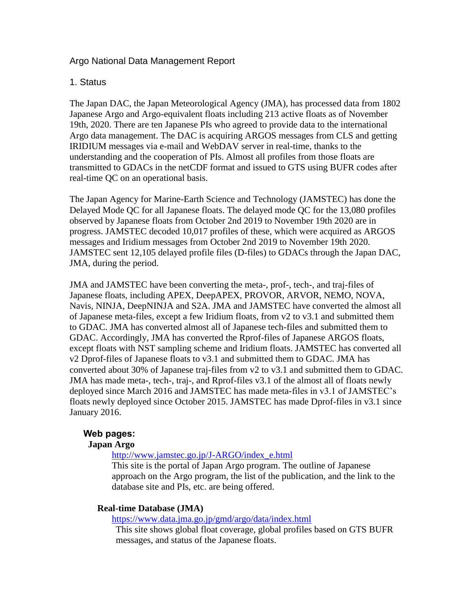# Argo National Data Management Report

## 1. Status

The Japan DAC, the Japan Meteorological Agency (JMA), has processed data from 1802 Japanese Argo and Argo-equivalent floats including 213 active floats as of November 19th, 2020. There are ten Japanese PIs who agreed to provide data to the international Argo data management. The DAC is acquiring ARGOS messages from CLS and getting IRIDIUM messages via e-mail and WebDAV server in real-time, thanks to the understanding and the cooperation of PIs. Almost all profiles from those floats are transmitted to GDACs in the netCDF format and issued to GTS using BUFR codes after real-time QC on an operational basis.

The Japan Agency for Marine-Earth Science and Technology (JAMSTEC) has done the Delayed Mode QC for all Japanese floats. The delayed mode QC for the 13,080 profiles observed by Japanese floats from October 2nd 2019 to November 19th 2020 are in progress. JAMSTEC decoded 10,017 profiles of these, which were acquired as ARGOS messages and Iridium messages from October 2nd 2019 to November 19th 2020. JAMSTEC sent 12,105 delayed profile files (D-files) to GDACs through the Japan DAC, JMA, during the period.

JMA and JAMSTEC have been converting the meta-, prof-, tech-, and traj-files of Japanese floats, including APEX, DeepAPEX, PROVOR, ARVOR, NEMO, NOVA, Navis, NINJA, DeepNINJA and S2A. JMA and JAMSTEC have converted the almost all of Japanese meta-files, except a few Iridium floats, from v2 to v3.1 and submitted them to GDAC. JMA has converted almost all of Japanese tech-files and submitted them to GDAC. Accordingly, JMA has converted the Rprof-files of Japanese ARGOS floats, except floats with NST sampling scheme and Iridium floats. JAMSTEC has converted all v2 Dprof-files of Japanese floats to v3.1 and submitted them to GDAC. JMA has converted about 30% of Japanese traj-files from v2 to v3.1 and submitted them to GDAC. JMA has made meta-, tech-, traj-, and Rprof-files v3.1 of the almost all of floats newly deployed since March 2016 and JAMSTEC has made meta-files in v3.1 of JAMSTEC's floats newly deployed since October 2015. JAMSTEC has made Dprof-files in v3.1 since January 2016.

## **Web pages:**

## **Japan Argo**

[http://www.jamstec.go.jp/J-ARGO/index\\_e.html](http://www.jamstec.go.jp/J-ARGO/index_e.html)

This site is the portal of Japan Argo program. The outline of Japanese approach on the Argo program, the list of the publication, and the link to the database site and PIs, etc. are being offered.

## **Real-time Database (JMA)**

<https://www.data.jma.go.jp/gmd/argo/data/index.html>

This site shows global float coverage, global profiles based on GTS BUFR messages, and status of the Japanese floats.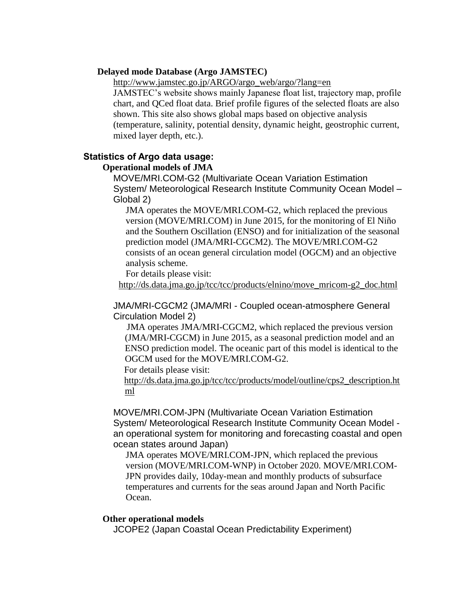#### **Delayed mode Database (Argo JAMSTEC)**

http://www.jamstec.go.jp/ARGO/argo\_web/argo/?lang=en

JAMSTEC's website shows mainly Japanese float list, trajectory map, profile chart, and QCed float data. Brief profile figures of the selected floats are also shown. This site also shows global maps based on objective analysis (temperature, salinity, potential density, dynamic height, geostrophic current, mixed layer depth, etc.).

## **Statistics of Argo data usage:**

#### **Operational models of JMA**

MOVE/MRI.COM-G2 (Multivariate Ocean Variation Estimation System/ Meteorological Research Institute Community Ocean Model – Global 2)

JMA operates the MOVE/MRI.COM-G2, which replaced the previous version (MOVE/MRI.COM) in June 2015, for the monitoring of El Niño and the Southern Oscillation (ENSO) and for initialization of the seasonal prediction model (JMA/MRI-CGCM2). The MOVE/MRI.COM-G2 consists of an ocean general circulation model (OGCM) and an objective analysis scheme.

For details please visit:

[http://ds.data.jma.go.jp/tcc/tcc/products/elnino/move\\_mricom-g2\\_doc.html](http://ds.data.jma.go.jp/tcc/tcc/products/elnino/move_mricom-g2_doc.html)

### JMA/MRI-CGCM2 (JMA/MRI - Coupled ocean-atmosphere General Circulation Model 2)

JMA operates JMA/MRI-CGCM2, which replaced the previous version (JMA/MRI-CGCM) in June 2015, as a seasonal prediction model and an ENSO prediction model. The oceanic part of this model is identical to the OGCM used for the MOVE/MRI.COM-G2.

For details please visit:

[http://ds.data.jma.go.jp/tcc/tcc/products/model/outline/cps2\\_description.ht](http://ds.data.jma.go.jp/tcc/tcc/products/model/outline/cps2_description.html) [ml](http://ds.data.jma.go.jp/tcc/tcc/products/model/outline/cps2_description.html)

MOVE/MRI.COM-JPN (Multivariate Ocean Variation Estimation System/ Meteorological Research Institute Community Ocean Model an operational system for monitoring and forecasting coastal and open ocean states around Japan)

JMA operates MOVE/MRI.COM-JPN, which replaced the previous version (MOVE/MRI.COM-WNP) in October 2020. MOVE/MRI.COM-JPN provides daily, 10day-mean and monthly products of subsurface temperatures and currents for the seas around Japan and North Pacific Ocean.

#### **Other operational models**

JCOPE2 (Japan Coastal Ocean Predictability Experiment)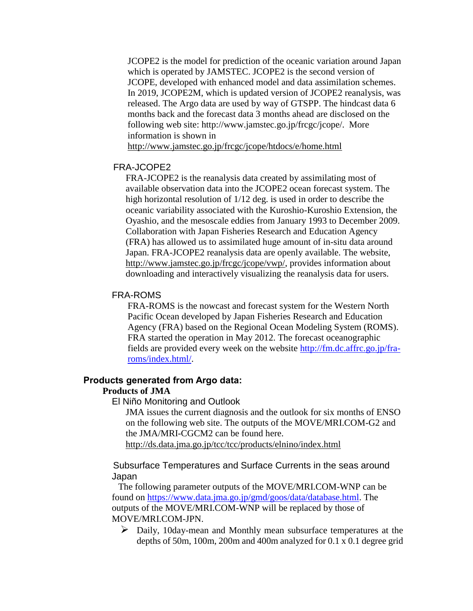JCOPE2 is the model for prediction of the oceanic variation around Japan which is operated by JAMSTEC. JCOPE2 is the second version of JCOPE, developed with enhanced model and data assimilation schemes. In 2019, JCOPE2M, which is updated version of JCOPE2 reanalysis, was released. The Argo data are used by way of GTSPP. The hindcast data 6 months back and the forecast data 3 months ahead are disclosed on the following web site: http://www.jamstec.go.jp/frcgc/jcope/. More information is shown in

http://www.jamstec.go.jp/frcgc/jcope/htdocs/e/home.html

#### FRA-JCOPE2

FRA-JCOPE2 is the reanalysis data created by assimilating most of available observation data into the JCOPE2 ocean forecast system. The high horizontal resolution of 1/12 deg. is used in order to describe the oceanic variability associated with the Kuroshio-Kuroshio Extension, the Oyashio, and the mesoscale eddies from January 1993 to December 2009. Collaboration with Japan Fisheries Research and Education Agency (FRA) has allowed us to assimilated huge amount of in-situ data around Japan. FRA-JCOPE2 reanalysis data are openly available. The website, http://www.jamstec.go.jp/frcgc/jcope/vwp/, provides information about downloading and interactively visualizing the reanalysis data for users.

#### FRA-ROMS

FRA-ROMS is the nowcast and forecast system for the Western North Pacific Ocean developed by Japan Fisheries Research and Education Agency (FRA) based on the Regional Ocean Modeling System (ROMS). FRA started the operation in May 2012. The forecast oceanographic fields are provided every week on the website [http://fm.dc.affrc.go.jp/fra](http://fm.dc.affrc.go.jp/fra-roms/index.html/)[roms/index.html/.](http://fm.dc.affrc.go.jp/fra-roms/index.html/)

# **Products generated from Argo data:**

## **Products of JMA**

El Niño Monitoring and Outlook

JMA issues the current diagnosis and the outlook for six months of ENSO on the following web site. The outputs of the MOVE/MRI.COM-G2 and the JMA/MRI-CGCM2 can be found here.

<http://ds.data.jma.go.jp/tcc/tcc/products/elnino/index.html>

## Subsurface Temperatures and Surface Currents in the seas around Japan

 The following parameter outputs of the MOVE/MRI.COM-WNP can be found on [https://www.data.jma.go.jp/gmd/goos/data/database.html.](https://www.data.jma.go.jp/gmd/goos/data/database.html) The outputs of the MOVE/MRI.COM-WNP will be replaced by those of MOVE/MRI.COM-JPN.

 Daily, 10day-mean and Monthly mean subsurface temperatures at the depths of 50m, 100m, 200m and 400m analyzed for 0.1 x 0.1 degree grid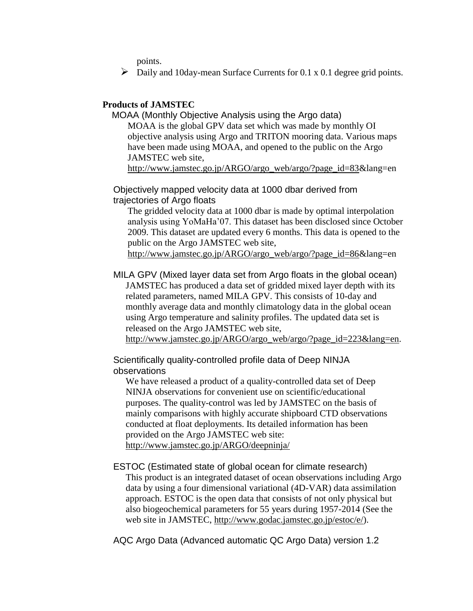points.

 $\triangleright$  Daily and 10day-mean Surface Currents for 0.1 x 0.1 degree grid points.

### **Products of JAMSTEC**

MOAA (Monthly Objective Analysis using the Argo data) MOAA is the global GPV data set which was made by monthly OI objective analysis using Argo and TRITON mooring data. Various maps have been made using MOAA, and opened to the public on the Argo JAMSTEC web site, http://www.jamstec.go.jp/ARGO/argo\_web/argo/?page\_id=83&lang=en

Objectively mapped velocity data at 1000 dbar derived from trajectories of Argo floats

The gridded velocity data at 1000 dbar is made by optimal interpolation analysis using YoMaHa'07. This dataset has been disclosed since October 2009. This dataset are updated every 6 months. This data is opened to the public on the Argo JAMSTEC web site,

http://www.jamstec.go.jp/ARGO/argo\_web/argo/?page\_id=86&lang=en

MILA GPV (Mixed layer data set from Argo floats in the global ocean) JAMSTEC has produced a data set of gridded mixed layer depth with its related parameters, named MILA GPV. This consists of 10-day and monthly average data and monthly climatology data in the global ocean using Argo temperature and salinity profiles. The updated data set is released on the Argo JAMSTEC web site,

http://www.jamstec.go.jp/ARGO/argo\_web/argo/?page\_id=223&lang=en.

Scientifically quality-controlled profile data of Deep NINJA observations

We have released a product of a quality-controlled data set of Deep NINJA observations for convenient use on scientific/educational purposes. The quality-control was led by JAMSTEC on the basis of mainly comparisons with highly accurate shipboard CTD observations conducted at float deployments. Its detailed information has been provided on the Argo JAMSTEC web site: http://www.jamstec.go.jp/ARGO/deepninja/

## ESTOC (Estimated state of global ocean for climate research)

This product is an integrated dataset of ocean observations including Argo data by using a four dimensional variational (4D-VAR) data assimilation approach. ESTOC is the open data that consists of not only physical but also biogeochemical parameters for 55 years during 1957-2014 (See the web site in JAMSTEC, http://www.godac.jamstec.go.jp/estoc/e/).

AQC Argo Data (Advanced automatic QC Argo Data) version 1.2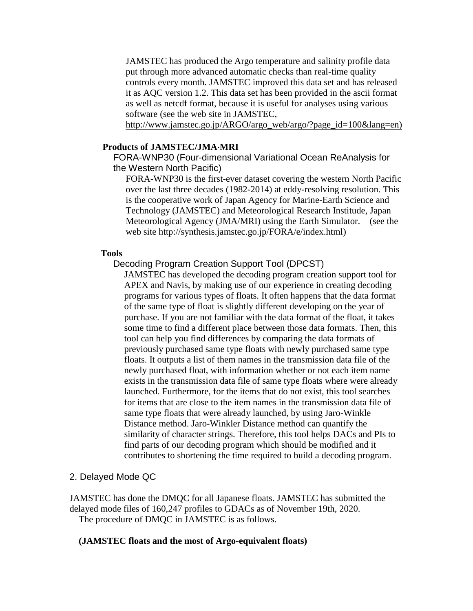JAMSTEC has produced the Argo temperature and salinity profile data put through more advanced automatic checks than real-time quality controls every month. JAMSTEC improved this data set and has released it as AQC version 1.2. This data set has been provided in the ascii format as well as netcdf format, because it is useful for analyses using various software (see the web site in JAMSTEC,

http://www.jamstec.go.jp/ARGO/argo\_web/argo/?page\_id=100&lang=en)

#### **Products of JAMSTEC/JMAMRI**

FORA-WNP30 (Four-dimensional Variational Ocean ReAnalysis for the Western North Pacific)

FORA-WNP30 is the first-ever dataset covering the western North Pacific over the last three decades (1982-2014) at eddy-resolving resolution. This is the cooperative work of Japan Agency for Marine-Earth Science and Technology (JAMSTEC) and Meteorological Research Institude, Japan Meteorological Agency (JMA/MRI) using the Earth Simulator. (see the web site http://synthesis.jamstec.go.jp/FORA/e/index.html)

#### **Tools**

### Decoding Program Creation Support Tool (DPCST)

JAMSTEC has developed the decoding program creation support tool for APEX and Navis, by making use of our experience in creating decoding programs for various types of floats. It often happens that the data format of the same type of float is slightly different developing on the year of purchase. If you are not familiar with the data format of the float, it takes some time to find a different place between those data formats. Then, this tool can help you find differences by comparing the data formats of previously purchased same type floats with newly purchased same type floats. It outputs a list of them names in the transmission data file of the newly purchased float, with information whether or not each item name exists in the transmission data file of same type floats where were already launched. Furthermore, for the items that do not exist, this tool searches for items that are close to the item names in the transmission data file of same type floats that were already launched, by using Jaro-Winkle Distance method. Jaro-Winkler Distance method can quantify the similarity of character strings. Therefore, this tool helps DACs and PIs to find parts of our decoding program which should be modified and it contributes to shortening the time required to build a decoding program.

#### 2. Delayed Mode QC

JAMSTEC has done the DMQC for all Japanese floats. JAMSTEC has submitted the delayed mode files of 160,247 profiles to GDACs as of November 19th, 2020. The procedure of DMQC in JAMSTEC is as follows.

#### **(JAMSTEC floats and the most of Argo-equivalent floats)**